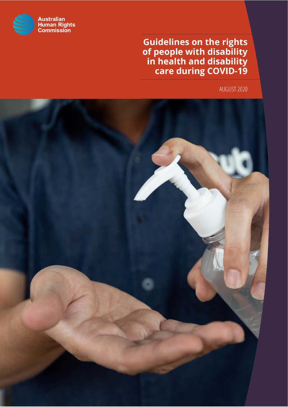

**and disability**<br>**and disability**<br>**in health and disability<br>care during COVID-19** 

*Guidelines on the rights of people with disability in health*

Australian Human Rights Commission

AUGUST 2020

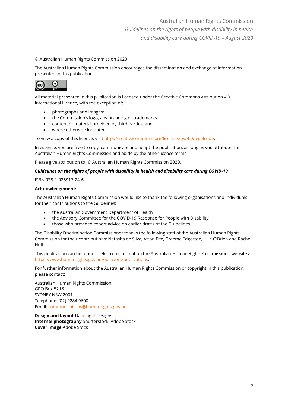Australian Human Rights Commission *Guidelines on the rights of people with disability in health and disability care during COVID-19 – August 2020*

© Australian Human Rights Commission 2020.

The Australian Human Rights Commission encourages the dissemination and exchange of information presented in this publication.



All material presented in this publication is licensed under the Creative Commons Attribution 4.0 International Licence, with the exception of:

- photographs and images;
- the Commission's logo, any branding or trademarks;
- content or material provided by third parties; and
- where otherwise indicated.

To view a copy of this licence, visit [http://creativecommons.org/licenses/by/4.0/legalcode.](http://creativecommons.org/licenses/by/4.0/legalcode)

In essence, you are free to copy, communicate and adapt the publication, as long as you attribute the Australian Human Rights Commission and abide by the other licence terms.

Please give attribution to: © Australian Human Rights Commission 2020.

#### *Guidelines on the rights of people with disability in health and disability care during COVID-19*

ISBN 978-1-925917-24-6

#### **Acknowledgements**

The Australian Human Rights Commission would like to thank the following organisations and individuals for their contributions to the Guidelines:

- the Australian Government Department of Health
- the Advisory Committee for the COVID-19 Response for People with Disability
- those who provided expert advice on earlier drafts of the Guidelines.

The Disability Discrimination Commissioner thanks the following staff of the Australian Human Rights Commission for their contributions: Natasha de Silva, Afton Fife, Graeme Edgerton, Julie O'Brien and Rachel Holt.

This publication can be found in electronic format on the Australian Human Rights Commission's website at [https://www.humanrights.gov.au/our-work/publications.](https://www.humanrights.gov.au/our-work/publications)

For further information about the Australian Human Rights Commission or copyright in this publication, please contact:

Australian Human Rights Commission GPO Box 5218 SYDNEY NSW 2001 Telephone: (02) 9284 9600 Email[: communications@humanrights.gov.au](mailto:communications@humanrights.gov.au)

**Design and layout** Dancingirl Designs **Internal photography** Shutterstock, Adobe Stock **Cover image** Adobe Stock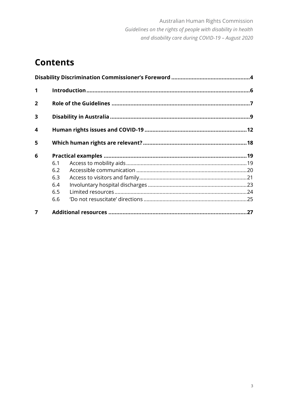# **Contents**

| 1              |     |  |  |  |
|----------------|-----|--|--|--|
| $\overline{2}$ |     |  |  |  |
| 3              |     |  |  |  |
| 4              |     |  |  |  |
| 5              |     |  |  |  |
| 6              |     |  |  |  |
|                | 6.1 |  |  |  |
|                | 6.2 |  |  |  |
|                | 6.3 |  |  |  |
|                | 6.4 |  |  |  |
|                | 6.5 |  |  |  |
|                | 6.6 |  |  |  |
| 7              |     |  |  |  |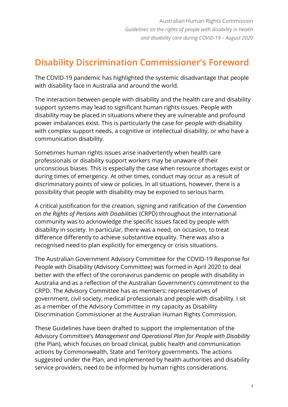# **Disability Discrimination Commissioner's Foreword**

The COVID-19 pandemic has highlighted the systemic disadvantage that people with disability face in Australia and around the world.

The interaction between people with disability and the health care and disability support systems may lead to significant human rights issues. People with disability may be placed in situations where they are vulnerable and profound power imbalances exist. This is particularly the case for people with disability with complex support needs, a cognitive or intellectual disability, or who have a communication disability.

Sometimes human rights issues arise inadvertently when health care professionals or disability support workers may be unaware of their unconscious biases. This is especially the case when resource shortages exist or during times of emergency. At other times, conduct may occur as a result of discriminatory points of view or policies. In all situations, however, there is a possibility that people with disability may be exposed to serious harm.

A critical justification for the creation, signing and ratification of the *Convention on the Rights of Persons with Disabilities* (CRPD) throughout the international community was to acknowledge the specific issues faced by people with disability in society. In particular, there was a need, on occasion, to treat difference differently to achieve substantive equality. There was also a recognised need to plan explicitly for emergency or crisis situations.

The Australian Government Advisory Committee for the COVID-19 Response for People with Disability (Advisory Committee) was formed in April 2020 to deal better with the effect of the coronavirus pandemic on people with disability in Australia and as a reflection of the Australian Government's commitment to the CRPD. The Advisory Committee has as members: representatives of government, civil society, medical professionals and people with disability. I sit as a member of the Advisory Committee in my capacity as Disability Discrimination Commissioner at the Australian Human Rights Commission.

These Guidelines have been drafted to support the implementation of the Advisory Committee's *Management and Operational Plan for People with Disability* (the Plan), which focuses on broad clinical, public health and communication actions by Commonwealth, State and Territory governments. The actions suggested under the Plan, and implemented by health authorities and disability service providers, need to be informed by human rights considerations.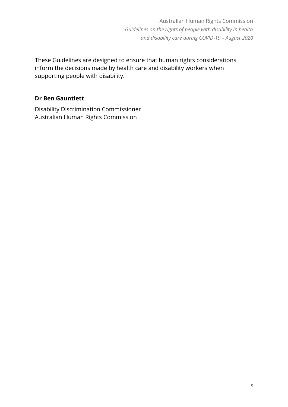Australian Human Rights Commission *Guidelines on the rights of people with disability in health and disability care during COVID-19 – August 2020*

These Guidelines are designed to ensure that human rights considerations inform the decisions made by health care and disability workers when supporting people with disability.

#### **Dr Ben Gauntlett**

Disability Discrimination Commissioner Australian Human Rights Commission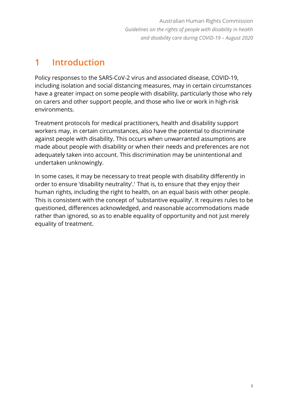# **1 Introduction**

Policy responses to the SARS-CoV-2 virus and associated disease, COVID-19, including isolation and social distancing measures, may in certain circumstances have a greater impact on some people with disability, particularly those who rely on carers and other support people, and those who live or work in high-risk environments.

Treatment protocols for medical practitioners, health and disability support workers may, in certain circumstances, also have the potential to discriminate against people with disability. This occurs when unwarranted assumptions are made about people with disability or when their needs and preferences are not adequately taken into account. This discrimination may be unintentional and undertaken unknowingly.

In some cases, it may be necessary to treat people with disability differently in order to ensure 'disability neutrality'. <sup>1</sup> That is, to ensure that they enjoy their human rights, including the right to health, on an equal basis with other people. This is consistent with the concept of 'substantive equality'. It requires rules to be questioned, differences acknowledged, and reasonable accommodations made rather than ignored, so as to enable equality of opportunity and not just merely equality of treatment.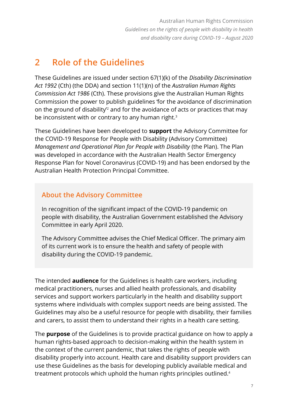# **2 Role of the Guidelines**

These Guidelines are issued under section 67(1)(k) of the *Disability Discrimination Act 1992* (Cth) (the DDA) and section 11(1)(n) of the *Australian Human Rights Commission Act 1986* (Cth). These provisions give the Australian Human Rights Commission the power to publish guidelines 'for the avoidance of discrimination on the ground of disability'<sup>2</sup> and for the avoidance of acts or practices that may be inconsistent with or contrary to any human right.<sup>3</sup>

These Guidelines have been developed to **support** the Advisory Committee for the COVID-19 Response for People with Disability (Advisory Committee) *Management and Operational Plan for People with Disability* (the Plan). The Plan was developed in accordance with the Australian Health Sector Emergency Response Plan for Novel Coronavirus (COVID-19) and has been endorsed by the Australian Health Protection Principal Committee.

# **About the Advisory Committee**

In recognition of the significant impact of the COVID-19 pandemic on people with disability, the Australian Government established the Advisory Committee in early April 2020.

The Advisory Committee advises the Chief Medical Officer. The primary aim of its current work is to ensure the health and safety of people with disability during the COVID-19 pandemic.

The intended **audience** for the Guidelines is health care workers, including medical practitioners, nurses and allied health professionals, and disability services and support workers particularly in the health and disability support systems where individuals with complex support needs are being assisted. The Guidelines may also be a useful resource for people with disability, their families and carers, to assist them to understand their rights in a health care setting.

The **purpose** of the Guidelines is to provide practical guidance on how to apply a human rights-based approach to decision-making within the health system in the context of the current pandemic, that takes the rights of people with disability properly into account. Health care and disability support providers can use these Guidelines as the basis for developing publicly available medical and treatment protocols which uphold the human rights principles outlined.<sup>4</sup>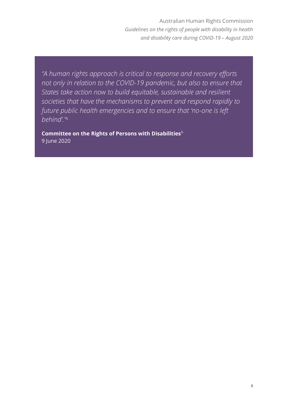*"A human rights approach is critical to response and recovery efforts not only in relation to the COVID-19 pandemic, but also to ensure that States take action now to build equitable, sustainable and resilient societies that have the mechanisms to prevent and respond rapidly to future public health emergencies and to ensure that 'no-one is left behind'." 5*

**Committee on the Rights of Persons with Disabilities**<sup>6</sup> 9 June 2020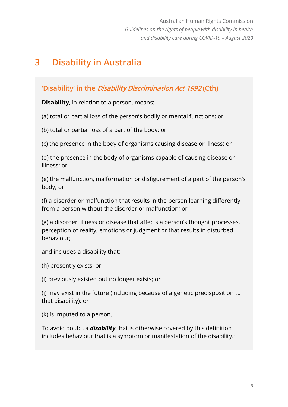# **3 Disability in Australia**

# **'Disability' in the Disability Discrimination Act 1992 (Cth)**

**Disability**, in relation to a person, means:

(a) total or partial loss of the person's bodily or mental functions; or

(b) total or partial loss of a part of the body; or

(c) the presence in the body of organisms causing disease or illness; or

(d) the presence in the body of organisms capable of causing disease or illness; or

(e) the malfunction, malformation or disfigurement of a part of the person's body; or

(f) a disorder or malfunction that results in the person learning differently from a person without the disorder or malfunction; or

(g) a disorder, illness or disease that affects a person's thought processes, perception of reality, emotions or judgment or that results in disturbed behaviour;

and includes a disability that:

(h) presently exists; or

(i) previously existed but no longer exists; or

(j) may exist in the future (including because of a genetic predisposition to that disability); or

(k) is imputed to a person.

To avoid doubt, a *disability* that is otherwise covered by this definition includes behaviour that is a symptom or manifestation of the disability.7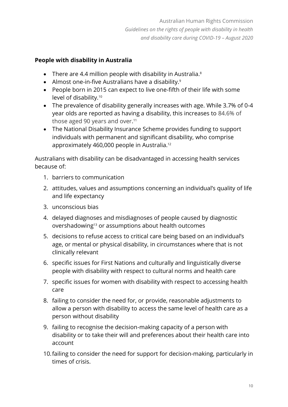# **People with disability in Australia**

- There are 4.4 million people with disability in Australia. $8$
- Almost one-in-five Australians have a disability.<sup>9</sup>
- People born in 2015 can expect to live one-fifth of their life with some level of disability.<sup>10</sup>
- The prevalence of disability generally increases with age. While 3.7% of 0-4 year olds are reported as having a disability, this increases to 84.6% of those aged 90 years and over. 11
- The National Disability Insurance Scheme provides funding to support individuals with permanent and significant disability, who comprise approximately 460,000 people in Australia.<sup>12</sup>

Australians with disability can be disadvantaged in accessing health services because of:

- 1. barriers to communication
- 2. attitudes, values and assumptions concerning an individual's quality of life and life expectancy
- 3. unconscious bias
- 4. delayed diagnoses and misdiagnoses of people caused by diagnostic overshadowing<sup>13</sup> or assumptions about health outcomes
- 5. decisions to refuse access to critical care being based on an individual's age, or mental or physical disability, in circumstances where that is not clinically relevant
- 6. specific issues for First Nations and culturally and linguistically diverse people with disability with respect to cultural norms and health care
- 7. specific issues for women with disability with respect to accessing health care
- 8. failing to consider the need for, or provide, reasonable adjustments to allow a person with disability to access the same level of health care as a person without disability
- 9. failing to recognise the decision-making capacity of a person with disability or to take their will and preferences about their health care into account
- 10.failing to consider the need for support for decision-making, particularly in times of crisis.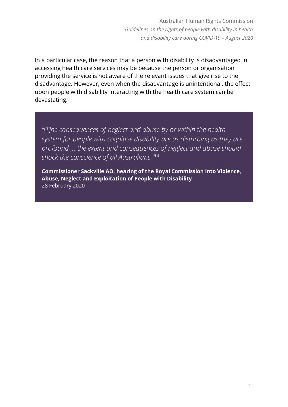Australian Human Rights Commission *Guidelines on the rights of people with disability in health and disability care during COVID-19 – August 2020*

In a particular case, the reason that a person with disability is disadvantaged in accessing health care services may be because the person or organisation providing the service is not aware of the relevant issues that give rise to the disadvantage. However, even when the disadvantage is unintentional, the effect upon people with disability interacting with the health care system can be devastating.

*"[T]he consequences of neglect and abuse by or within the health system for people with cognitive disability are as disturbing as they are profound … the extent and consequences of neglect and abuse should shock the conscience of all Australians."* 14

**Commissioner Sackville AO, hearing of the Royal Commission into Violence, Abuse, Neglect and Exploitation of People with Disability** 28 February 2020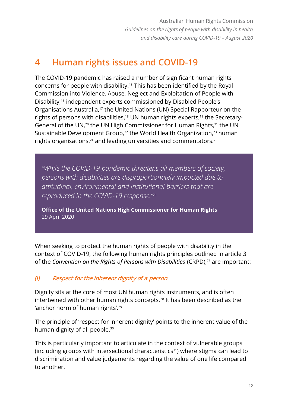# **4 Human rights issues and COVID-19**

The COVID-19 pandemic has raised a number of significant human rights concerns for people with disability. <sup>15</sup> This has been identified by the Royal Commission into Violence, Abuse, Neglect and Exploitation of People with Disability, <sup>16</sup> independent experts commissioned by Disabled People's Organisations Australia,<sup>17</sup> the United Nations (UN) Special Rapporteur on the rights of persons with disabilities,<sup>18</sup> UN human rights experts,<sup>19</sup> the Secretary-General of the UN,<sup>20</sup> the UN High Commissioner for Human Rights,<sup>21</sup> the UN Sustainable Development Group,<sup>22</sup> the World Health Organization,<sup>23</sup> human rights organisations,<sup>24</sup> and leading universities and commentators.<sup>25</sup>

*"While the COVID-19 pandemic threatens all members of society, persons with disabilities are disproportionately impacted due to attitudinal, environmental and institutional barriers that are reproduced in the COVID-19 response."* 26

**Office of the United Nations High Commissioner for Human Rights** 29 April 2020

When seeking to protect the human rights of people with disability in the context of COVID-19, the following human rights principles outlined in article 3 of the *Convention on the Rights of Persons with Disabilities* (CRPD),<sup>27</sup> are important:

### *(i)* **Respect for the inherent dignity of a person**

Dignity sits at the core of most UN human rights instruments, and is often intertwined with other human rights concepts.<sup>28</sup> It has been described as the 'anchor norm of human rights'.<sup>29</sup>

The principle of 'respect for inherent dignity' points to the inherent value of the human dignity of all people. 30

This is particularly important to articulate in the context of vulnerable groups (including groups with intersectional characteristics<sup>31</sup>) where stigma can lead to discrimination and value judgements regarding the value of one life compared to another.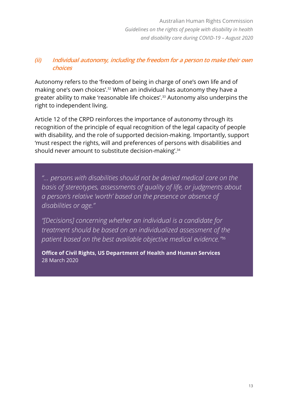# *(ii)* **Individual autonomy, including the freedom for a person to make their own choices**

Autonomy refers to the 'freedom of being in charge of one's own life and of making one's own choices'.<sup>32</sup> When an individual has autonomy they have a greater ability to make 'reasonable life choices'.<sup>33</sup> Autonomy also underpins the right to independent living.

Article 12 of the CRPD reinforces the importance of autonomy through its recognition of the principle of equal recognition of the legal capacity of people with disability, and the role of supported decision-making. Importantly, support 'must respect the rights, will and preferences of persons with disabilities and should never amount to substitute decision-making'.<sup>34</sup>

*"… persons with disabilities should not be denied medical care on the basis of stereotypes, assessments of quality of life, or judgments about a person's relative 'worth' based on the presence or absence of disabilities or age."* 

*"[Decisions] concerning whether an individual is a candidate for treatment should be based on an individualized assessment of the patient based on the best available objective medical evidence."* 35

**Office of Civil Rights, US Department of Health and Human Services** 28 March 2020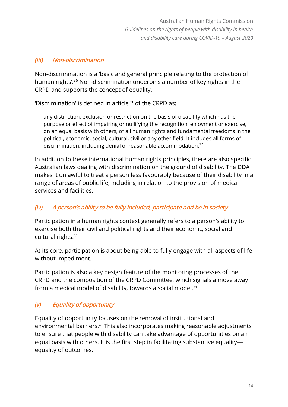### *(iii)* **Non-discrimination**

Non-discrimination is a 'basic and general principle relating to the protection of human rights<sup>', 36</sup> Non-discrimination underpins a number of key rights in the CRPD and supports the concept of equality.

'Discrimination' is defined in article 2 of the CRPD as:

any distinction, exclusion or restriction on the basis of disability which has the purpose or effect of impairing or nullifying the recognition, enjoyment or exercise, on an equal basis with others, of all human rights and fundamental freedoms in the political, economic, social, cultural, civil or any other field. It includes all forms of discrimination, including denial of reasonable accommodation.<sup>37</sup>

In addition to these international human rights principles, there are also specific Australian laws dealing with discrimination on the ground of disability. The DDA makes it unlawful to treat a person less favourably because of their disability in a range of areas of public life, including in relation to the provision of medical services and facilities.

### *(iv)* **A person's ability to be fully included, participate and be in society**

Participation in a human rights context generally refers to a person's ability to exercise both their civil and political rights and their economic, social and cultural rights.<sup>38</sup>

At its core, participation is about being able to fully engage with all aspects of life without impediment.

Participation is also a key design feature of the monitoring processes of the CRPD and the composition of the CRPD Committee, which signals a move away from a medical model of disability, towards a social model.<sup>39</sup>

# *(v)* **Equality of opportunity**

Equality of opportunity focuses on the removal of institutional and environmental barriers.<sup>40</sup> This also incorporates making reasonable adjustments to ensure that people with disability can take advantage of opportunities on an equal basis with others. It is the first step in facilitating substantive equality equality of outcomes.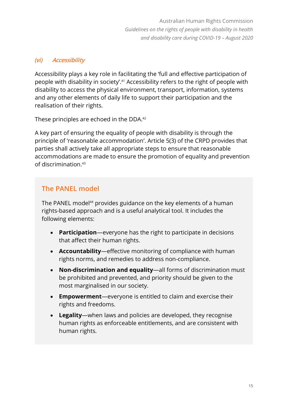### *(vi)* **Accessibility**

Accessibility plays a key role in facilitating the 'full and effective participation of people with disability in society'. <sup>41</sup> Accessibility refers to the right of people with disability to access the physical environment, transport, information, systems and any other elements of daily life to support their participation and the realisation of their rights.

These principles are echoed in the DDA.<sup>42</sup>

A key part of ensuring the equality of people with disability is through the principle of 'reasonable accommodation'. Article 5(3) of the CRPD provides that parties shall actively take all appropriate steps to ensure that reasonable accommodations are made to ensure the promotion of equality and prevention of discrimination.<sup>43</sup>

# **The PANEL model**

The PANEL model<sup>44</sup> provides guidance on the key elements of a human rights-based approach and is a useful analytical tool. It includes the following elements:

- **Participation**—everyone has the right to participate in decisions that affect their human rights.
- **Accountability**—effective monitoring of compliance with human rights norms, and remedies to address non-compliance.
- **Non-discrimination and equality**—all forms of discrimination must be prohibited and prevented, and priority should be given to the most marginalised in our society.
- **Empowerment**—everyone is entitled to claim and exercise their rights and freedoms.
- **Legality**—when laws and policies are developed, they recognise human rights as enforceable entitlements, and are consistent with human rights.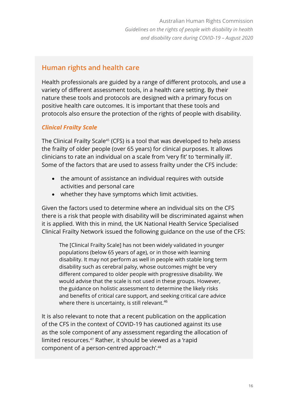# **Human rights and health care**

Health professionals are guided by a range of different protocols, and use a variety of different assessment tools, in a health care setting. By their nature these tools and protocols are designed with a primary focus on positive health care outcomes. It is important that these tools and protocols also ensure the protection of the rights of people with disability.

#### *Clinical Frailty Scale*

The Clinical Frailty Scale<sup>45</sup> (CFS) is a tool that was developed to help assess the frailty of older people (over 65 years) for clinical purposes. It allows clinicians to rate an individual on a scale from 'very fit' to 'terminally ill'. Some of the factors that are used to assess frailty under the CFS include:

- the amount of assistance an individual requires with outside activities and personal care
- whether they have symptoms which limit activities.

Given the factors used to determine where an individual sits on the CFS there is a risk that people with disability will be discriminated against when it is applied. With this in mind, the UK National Health Service Specialised Clinical Frailty Network issued the following guidance on the use of the CFS:

The [Clinical Frailty Scale] has not been widely validated in younger populations (below 65 years of age), or in those with learning disability. It may not perform as well in people with stable long term disability such as cerebral palsy, whose outcomes might be very different compared to older people with progressive disability. We would advise that the scale is not used in these groups. However, the guidance on holistic assessment to determine the likely risks and benefits of critical care support, and seeking critical care advice where there is uncertainty, is still relevant.<sup>46</sup>

It is also relevant to note that a recent publication on the application of the CFS in the context of COVID-19 has cautioned against its use as the sole component of any assessment regarding the allocation of limited resources.<sup>47</sup> Rather, it should be viewed as a 'rapid component of a person-centred approach'.<sup>48</sup>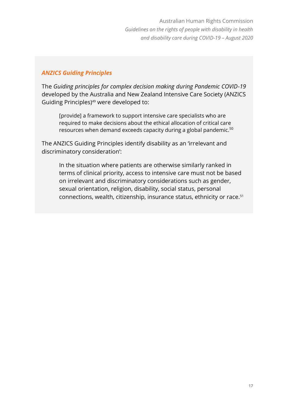#### *ANZICS Guiding Principles*

The *Guiding principles for complex decision making during Pandemic COVID-19* developed by the Australia and New Zealand Intensive Care Society (ANZICS Guiding Principles)<sup>49</sup> were developed to:

[provide] a framework to support intensive care specialists who are required to make decisions about the ethical allocation of critical care resources when demand exceeds capacity during a global pandemic.<sup>50</sup>

The ANZICS Guiding Principles identify disability as an 'irrelevant and discriminatory consideration':

In the situation where patients are otherwise similarly ranked in terms of clinical priority, access to intensive care must not be based on irrelevant and discriminatory considerations such as gender, sexual orientation, religion, disability, social status, personal connections, wealth, citizenship, insurance status, ethnicity or race.51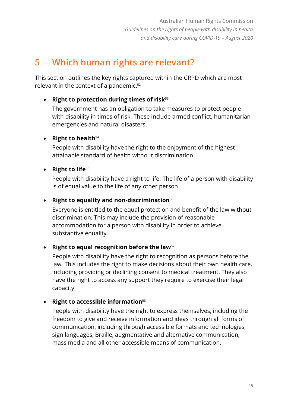# **5 Which human rights are relevant?**

This section outlines the key rights captured within the CRPD which are most relevant in the context of a pandemic. 52

# • **Right to protection during times of risk**<sup>53</sup>

The government has an obligation to take measures to protect people with disability in times of risk. These include armed conflict, humanitarian emergencies and natural disasters.

# • **Right to health**<sup>54</sup>

People with disability have the right to the enjoyment of the highest attainable standard of health without discrimination.

# • **Right to life**<sup>55</sup>

People with disability have a right to life. The life of a person with disability is of equal value to the life of any other person.

# • **Right to equality and non-discrimination**<sup>56</sup>

Everyone is entitled to the equal protection and benefit of the law without discrimination. This may include the provision of reasonable accommodation for a person with disability in order to achieve substantive equality.

### • **Right to equal recognition before the law**<sup>57</sup>

People with disability have the right to recognition as persons before the law. This includes the right to make decisions about their own health care, including providing or declining consent to medical treatment. They also have the right to access any support they require to exercise their legal capacity.

# • **Right to accessible information**<sup>58</sup>

People with disability have the right to express themselves, including the freedom to give and receive information and ideas through all forms of communication, including through accessible formats and technologies, sign languages, Braille, augmentative and alternative communication, mass media and all other accessible means of communication.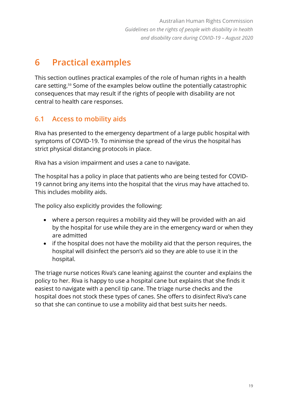# **6 Practical examples**

This section outlines practical examples of the role of human rights in a health care setting.<sup>59</sup> Some of the examples below outline the potentially catastrophic consequences that may result if the rights of people with disability are not central to health care responses.

# **6.1 Access to mobility aids**

Riva has presented to the emergency department of a large public hospital with symptoms of COVID-19. To minimise the spread of the virus the hospital has strict physical distancing protocols in place.

Riva has a vision impairment and uses a cane to navigate.

The hospital has a policy in place that patients who are being tested for COVID-19 cannot bring any items into the hospital that the virus may have attached to. This includes mobility aids.

The policy also explicitly provides the following:

- where a person requires a mobility aid they will be provided with an aid by the hospital for use while they are in the emergency ward or when they are admitted
- if the hospital does not have the mobility aid that the person requires, the hospital will disinfect the person's aid so they are able to use it in the hospital.

The triage nurse notices Riva's cane leaning against the counter and explains the policy to her. Riva is happy to use a hospital cane but explains that she finds it easiest to navigate with a pencil tip cane. The triage nurse checks and the hospital does not stock these types of canes. She offers to disinfect Riva's cane so that she can continue to use a mobility aid that best suits her needs.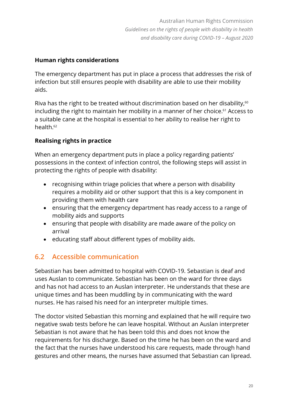### **Human rights considerations**

The emergency department has put in place a process that addresses the risk of infection but still ensures people with disability are able to use their mobility aids.

Riva has the right to be treated without discrimination based on her disability, $60$ including the right to maintain her mobility in a manner of her choice.<sup>61</sup> Access to a suitable cane at the hospital is essential to her ability to realise her right to health.<sup>62</sup>

# **Realising rights in practice**

When an emergency department puts in place a policy regarding patients' possessions in the context of infection control, the following steps will assist in protecting the rights of people with disability:

- recognising within triage policies that where a person with disability requires a mobility aid or other support that this is a key component in providing them with health care
- ensuring that the emergency department has ready access to a range of mobility aids and supports
- ensuring that people with disability are made aware of the policy on arrival
- educating staff about different types of mobility aids.

# **6.2 Accessible communication**

Sebastian has been admitted to hospital with COVID-19. Sebastian is deaf and uses Auslan to communicate. Sebastian has been on the ward for three days and has not had access to an Auslan interpreter. He understands that these are unique times and has been muddling by in communicating with the ward nurses. He has raised his need for an interpreter multiple times.

The doctor visited Sebastian this morning and explained that he will require two negative swab tests before he can leave hospital. Without an Auslan interpreter Sebastian is not aware that he has been told this and does not know the requirements for his discharge. Based on the time he has been on the ward and the fact that the nurses have understood his care requests, made through hand gestures and other means, the nurses have assumed that Sebastian can lipread.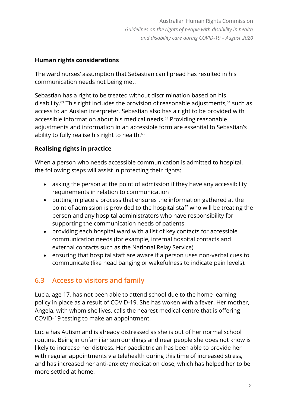### **Human rights considerations**

The ward nurses' assumption that Sebastian can lipread has resulted in his communication needs not being met.

Sebastian has a right to be treated without discrimination based on his disability.<sup>63</sup> This right includes the provision of reasonable adjustments,<sup>64</sup> such as access to an Auslan interpreter. Sebastian also has a right to be provided with accessible information about his medical needs. <sup>65</sup> Providing reasonable adjustments and information in an accessible form are essential to Sebastian's ability to fully realise his right to health.<sup>66</sup>

# **Realising rights in practice**

When a person who needs accessible communication is admitted to hospital, the following steps will assist in protecting their rights:

- asking the person at the point of admission if they have any accessibility requirements in relation to communication
- putting in place a process that ensures the information gathered at the point of admission is provided to the hospital staff who will be treating the person and any hospital administrators who have responsibility for supporting the communication needs of patients
- providing each hospital ward with a list of key contacts for accessible communication needs (for example, internal hospital contacts and external contacts such as the National Relay Service)
- ensuring that hospital staff are aware if a person uses non-verbal cues to communicate (like head banging or wakefulness to indicate pain levels).

# **6.3 Access to visitors and family**

Lucia, age 17, has not been able to attend school due to the home learning policy in place as a result of COVID-19. She has woken with a fever. Her mother, Angela, with whom she lives, calls the nearest medical centre that is offering COVID-19 testing to make an appointment.

Lucia has Autism and is already distressed as she is out of her normal school routine. Being in unfamiliar surroundings and near people she does not know is likely to increase her distress. Her paediatrician has been able to provide her with regular appointments via telehealth during this time of increased stress, and has increased her anti-anxiety medication dose, which has helped her to be more settled at home.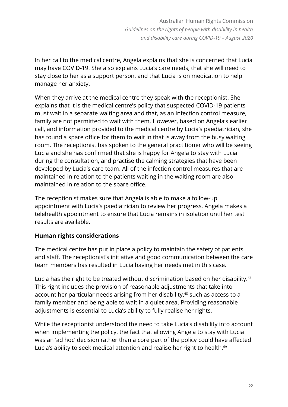In her call to the medical centre, Angela explains that she is concerned that Lucia may have COVID-19. She also explains Lucia's care needs, that she will need to stay close to her as a support person, and that Lucia is on medication to help manage her anxiety.

When they arrive at the medical centre they speak with the receptionist. She explains that it is the medical centre's policy that suspected COVID-19 patients must wait in a separate waiting area and that, as an infection control measure, family are not permitted to wait with them. However, based on Angela's earlier call, and information provided to the medical centre by Lucia's paediatrician, she has found a spare office for them to wait in that is away from the busy waiting room. The receptionist has spoken to the general practitioner who will be seeing Lucia and she has confirmed that she is happy for Angela to stay with Lucia during the consultation, and practise the calming strategies that have been developed by Lucia's care team. All of the infection control measures that are maintained in relation to the patients waiting in the waiting room are also maintained in relation to the spare office.

The receptionist makes sure that Angela is able to make a follow-up appointment with Lucia's paediatrician to review her progress. Angela makes a telehealth appointment to ensure that Lucia remains in isolation until her test results are available.

### **Human rights considerations**

The medical centre has put in place a policy to maintain the safety of patients and staff. The receptionist's initiative and good communication between the care team members has resulted in Lucia having her needs met in this case.

Lucia has the right to be treated without discrimination based on her disability.<sup>67</sup> This right includes the provision of reasonable adjustments that take into account her particular needs arising from her disability, <sup>68</sup> such as access to a family member and being able to wait in a quiet area. Providing reasonable adjustments is essential to Lucia's ability to fully realise her rights.

While the receptionist understood the need to take Lucia's disability into account when implementing the policy, the fact that allowing Angela to stay with Lucia was an 'ad hoc' decision rather than a core part of the policy could have affected Lucia's ability to seek medical attention and realise her right to health.<sup>69</sup>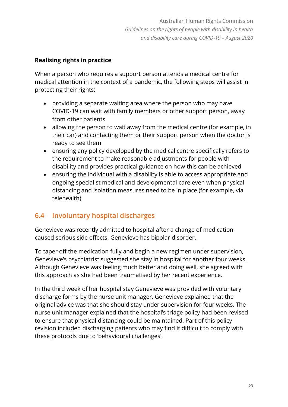# **Realising rights in practice**

When a person who requires a support person attends a medical centre for medical attention in the context of a pandemic, the following steps will assist in protecting their rights:

- providing a separate waiting area where the person who may have COVID-19 can wait with family members or other support person, away from other patients
- allowing the person to wait away from the medical centre (for example, in their car) and contacting them or their support person when the doctor is ready to see them
- ensuring any policy developed by the medical centre specifically refers to the requirement to make reasonable adjustments for people with disability and provides practical guidance on how this can be achieved
- ensuring the individual with a disability is able to access appropriate and ongoing specialist medical and developmental care even when physical distancing and isolation measures need to be in place (for example, via telehealth).

# **6.4 Involuntary hospital discharges**

Genevieve was recently admitted to hospital after a change of medication caused serious side effects. Genevieve has bipolar disorder.

To taper off the medication fully and begin a new regimen under supervision, Genevieve's psychiatrist suggested she stay in hospital for another four weeks. Although Genevieve was feeling much better and doing well, she agreed with this approach as she had been traumatised by her recent experience.

In the third week of her hospital stay Genevieve was provided with voluntary discharge forms by the nurse unit manager. Genevieve explained that the original advice was that she should stay under supervision for four weeks. The nurse unit manager explained that the hospital's triage policy had been revised to ensure that physical distancing could be maintained. Part of this policy revision included discharging patients who may find it difficult to comply with these protocols due to 'behavioural challenges'.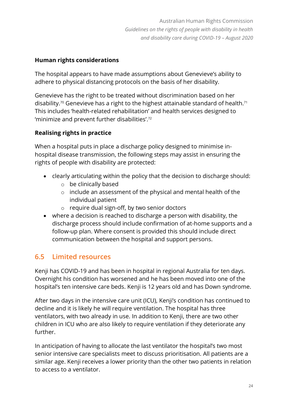# **Human rights considerations**

The hospital appears to have made assumptions about Genevieve's ability to adhere to physical distancing protocols on the basis of her disability.

Genevieve has the right to be treated without discrimination based on her disability.<sup>70</sup> Genevieve has a right to the highest attainable standard of health.<sup>71</sup> This includes 'health-related rehabilitation' and health services designed to 'minimize and prevent further disabilities'. 72

# **Realising rights in practice**

When a hospital puts in place a discharge policy designed to minimise inhospital disease transmission, the following steps may assist in ensuring the rights of people with disability are protected:

- clearly articulating within the policy that the decision to discharge should:
	- o be clinically based
	- o include an assessment of the physical and mental health of the individual patient
	- o require dual sign-off, by two senior doctors
- where a decision is reached to discharge a person with disability, the discharge process should include confirmation of at-home supports and a follow-up plan. Where consent is provided this should include direct communication between the hospital and support persons.

# **6.5 Limited resources**

Kenji has COVID-19 and has been in hospital in regional Australia for ten days. Overnight his condition has worsened and he has been moved into one of the hospital's ten intensive care beds. Kenji is 12 years old and has Down syndrome.

After two days in the intensive care unit (ICU), Kenji's condition has continued to decline and it is likely he will require ventilation. The hospital has three ventilators, with two already in use. In addition to Kenji, there are two other children in ICU who are also likely to require ventilation if they deteriorate any further.

In anticipation of having to allocate the last ventilator the hospital's two most senior intensive care specialists meet to discuss prioritisation. All patients are a similar age. Kenji receives a lower priority than the other two patients in relation to access to a ventilator.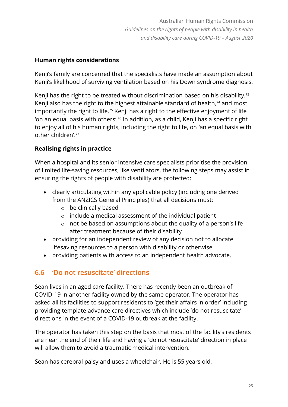### **Human rights considerations**

Kenji's family are concerned that the specialists have made an assumption about Kenji's likelihood of surviving ventilation based on his Down syndrome diagnosis.

Kenji has the right to be treated without discrimination based on his disability.<sup>73</sup> Kenji also has the right to the highest attainable standard of health, <sup>74</sup> and most importantly the right to life.<sup>75</sup> Kenji has a right to the effective enjoyment of life 'on an equal basis with others'. <sup>76</sup> In addition, as a child, Kenji has a specific right to enjoy all of his human rights, including the right to life, on 'an equal basis with other children'.<sup>77</sup>

# **Realising rights in practice**

When a hospital and its senior intensive care specialists prioritise the provision of limited life-saving resources, like ventilators, the following steps may assist in ensuring the rights of people with disability are protected:

- clearly articulating within any applicable policy (including one derived from the ANZICS General Principles) that all decisions must:
	- o be clinically based
	- o include a medical assessment of the individual patient
	- o not be based on assumptions about the quality of a person's life after treatment because of their disability
- providing for an independent review of any decision not to allocate lifesaving resources to a person with disability or otherwise
- providing patients with access to an independent health advocate.

# **6.6 'Do not resuscitate' directions**

Sean lives in an aged care facility. There has recently been an outbreak of COVID-19 in another facility owned by the same operator. The operator has asked all its facilities to support residents to 'get their affairs in order' including providing template advance care directives which include 'do not resuscitate' directions in the event of a COVID-19 outbreak at the facility.

The operator has taken this step on the basis that most of the facility's residents are near the end of their life and having a 'do not resuscitate' direction in place will allow them to avoid a traumatic medical intervention.

Sean has cerebral palsy and uses a wheelchair. He is 55 years old.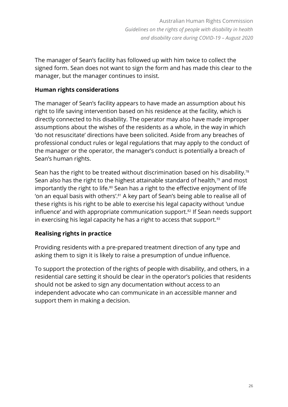The manager of Sean's facility has followed up with him twice to collect the signed form. Sean does not want to sign the form and has made this clear to the manager, but the manager continues to insist.

#### **Human rights considerations**

The manager of Sean's facility appears to have made an assumption about his right to life saving intervention based on his residence at the facility, which is directly connected to his disability. The operator may also have made improper assumptions about the wishes of the residents as a whole, in the way in which 'do not resuscitate' directions have been solicited. Aside from any breaches of professional conduct rules or legal regulations that may apply to the conduct of the manager or the operator, the manager's conduct is potentially a breach of Sean's human rights.

Sean has the right to be treated without discrimination based on his disability.<sup>78</sup> Sean also has the right to the highest attainable standard of health,<sup>79</sup> and most importantly the right to life.<sup>80</sup> Sean has a right to the effective enjoyment of life 'on an equal basis with others'.<sup>81</sup> A key part of Sean's being able to realise all of these rights is his right to be able to exercise his legal capacity without 'undue influence' and with appropriate communication support. <sup>82</sup> If Sean needs support in exercising his legal capacity he has a right to access that support.<sup>83</sup>

### **Realising rights in practice**

Providing residents with a pre-prepared treatment direction of any type and asking them to sign it is likely to raise a presumption of undue influence.

To support the protection of the rights of people with disability, and others, in a residential care setting it should be clear in the operator's policies that residents should not be asked to sign any documentation without access to an independent advocate who can communicate in an accessible manner and support them in making a decision.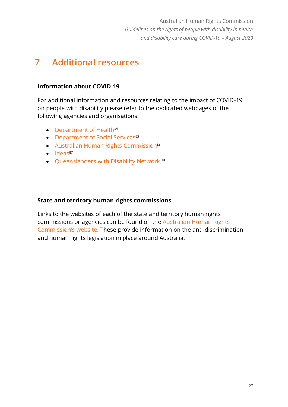# **7 Additional resources**

#### **Information about COVID-19**

For additional information and resources relating to the impact of COVID-19 on people with disability please refer to the dedicated webpages of the following agencies and organisations:

- [Department of Health](https://www.health.gov.au/news/health-alerts/novel-coronavirus-2019-ncov-health-alert/advice-for-people-at-risk-of-coronavirus-covid-19/coronavirus-covid-19-advice-for-people-with-disability) $84$
- [Department of](https://www.dss.gov.au/disability-and-carers/information-and-referrals-for-people-with-disability-and-their-supporters-about-coronavirus-covid-19) Social Services<sup>85</sup>
- Australian [Human Rights Commission](https://humanrights.gov.au/our-work/commission-general/covid-19-information)<sup>86</sup>
- $\bullet$  [Ideas](https://www.ideas.org.au/covid-crisis.html)<sup>87</sup>
- [Queenslanders with Disability Network.](https://www.qdn.org.au/knowyourrightscovid19) 88

#### **State and territory human rights commissions**

Links to the websites of each of the state and territory human rights commissions or agencies can be found on the [Australian Human Rights](https://humanrights.gov.au/our-work/legal/web-links#ad)  [Commission's website](https://humanrights.gov.au/our-work/legal/web-links#ad). These provide information on the anti-discrimination and human rights legislation in place around Australia.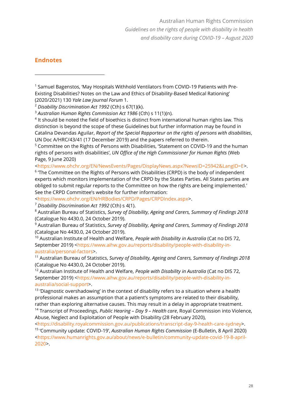#### **Endnotes**

[<https://www.ohchr.org/EN/NewsEvents/Pages/DisplayNews.aspx?NewsID=25942&LangID=E>](https://www.ohchr.org/EN/NewsEvents/Pages/DisplayNews.aspx?NewsID=25942&LangID=E).

<sup>6</sup> The Committee on the Rights of Persons with Disabilities (CRPD) is the body of independent experts which monitors implementation of the CRPD by the States Parties. All States parties are obliged to submit regular reports to the Committee on how the rights are being implemented.' See the CRPD Committee's website for further information:

[<https://www.ohchr.org/EN/HRBodies/CRPD/Pages/CRPDIndex.aspx>](https://www.ohchr.org/EN/HRBodies/CRPD/Pages/CRPDIndex.aspx).

<sup>7</sup> *Disability Discrimination Act 1992* (Cth) s 4(1).

<sup>8</sup> Australian Bureau of Statistics, *Survey of Disability, Ageing and Carers, Summary of Findings 2018* (Catalogue No 4430.0, 24 October 2019).

<sup>9</sup> Australian Bureau of Statistics, *Survey of Disability, Ageing and Carers, Summary of Findings 2018* (Catalogue No 4430.0, 24 October 2019).

<sup>10</sup> Australian Institute of Health and Welfare, *People with Disability in Australia* (Cat no DIS 72, September 2019) [<https://www.aihw.gov.au/reports/disability/people-with-disability-in](https://www.aihw.gov.au/reports/disability/people-with-disability-in-australia/personal-factors)[australia/personal-factors>](https://www.aihw.gov.au/reports/disability/people-with-disability-in-australia/personal-factors).

<sup>11</sup> Australian Bureau of Statistics, *Survey of Disability, Ageing and Carers, Summary of Findings 2018* (Catalogue No 4430.0, 24 October 2019).

<sup>12</sup> Australian Institute of Health and Welfare, *People with Disability in Australia* (Cat no DIS 72, September 2019) [<https://www.aihw.gov.au/reports/disability/people-with-disability-in](https://www.aihw.gov.au/reports/disability/people-with-disability-in-australia/social-support)[australia/social-support>](https://www.aihw.gov.au/reports/disability/people-with-disability-in-australia/social-support).

<sup>13</sup> 'Diagnostic overshadowing' in the context of disability refers to a situation where a health professional makes an assumption that a patient's symptoms are related to their disability, rather than exploring alternative causes. This may result in a delay in appropriate treatment.

<sup>14</sup> Transcript of Proceedings, *Public Hearing – Day 9 – Health care*, Royal Commission into Violence, Abuse, Neglect and Exploitation of People with Disability (28 February 2020),

[<https://disability.royalcommission.gov.au/publications/transcript-day-9-health-care-sydney>](https://disability.royalcommission.gov.au/publications/transcript-day-9-health-care-sydney). <sup>15</sup> 'Community update: COVID-19', *Australian Human Rights Commission* (E-Bulletin, 8 April 2020)

[<https://www.humanrights.gov.au/about/news/e-bulletin/community-update-covid-19-8-april-](https://www.humanrights.gov.au/about/news/e-bulletin/community-update-covid-19-8-april-2020)[2020>](https://www.humanrights.gov.au/about/news/e-bulletin/community-update-covid-19-8-april-2020).

<sup>&</sup>lt;sup>1</sup> Samuel Bagenstos, 'May Hospitals Withhold Ventilators from COVID-19 Patients with Pre-Existing Disabilities? Notes on the Law and Ethics of Disability-Based Medical Rationing' (2020/2021) 130 *Yale Law Journal Forum* 1.

<sup>2</sup> *Disability Discrimination Act 1992* (Cth) s 67(1)(k).

<sup>3</sup> *Australian Human Rights Commission Act 1986* (Cth) s 11(1)(n).

<sup>&</sup>lt;sup>4</sup> It should be noted the field of bioethics is distinct from international human rights law. This distinction is beyond the scope of these Guidelines but further information may be found in Catalina Devandas Aguilar, *Report of the Special Rapporteur on the rights of persons with disabilities*, UN Doc A/HRC/43/41 (17 December 2019) and the papers referred to therein.

<sup>5</sup> Committee on the Rights of Persons with Disabilities, 'Statement on COVID-19 and the human rights of persons with disabilities', *UN Office of the High Commissioner for Human Rights* (Web Page, 9 June 2020)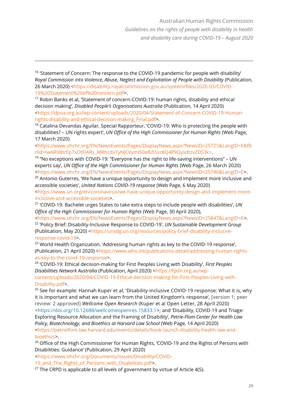<sup>17</sup> Robin Banks et al, 'Statement of concern-COVID-19: human rights, disability and ethical decision making', *Disabled People's Organisations Australia* (Publication, 14 April 2020) [<https://dpoa.org.au/wp-content/uploads/2020/04/Statement-of-Concern-COVID-19-Human](https://dpoa.org.au/wp-content/uploads/2020/04/Statement-of-Concern-COVID-19-Human-rights-disability-and-ethical-decision-making_Final.pdf)[rights-disability-and-ethical-decision-making\\_Final.pdf>](https://dpoa.org.au/wp-content/uploads/2020/04/Statement-of-Concern-COVID-19-Human-rights-disability-and-ethical-decision-making_Final.pdf).

<sup>18</sup> Catalina Devandas Aguilar, Special Rapporteur, 'COVID-19: Who is protecting the people with disabilities? – UN rights expert', *UN Office of the High Commissioner for Human Rights* (Web Page, 17 March 2020)

[<https://www.ohchr.org/EN/NewsEvents/Pages/DisplayNews.aspx?NewsID=25725&LangID=E&fb](https://www.ohchr.org/EN/NewsEvents/Pages/DisplayNews.aspx?NewsID=25725&LangID=E&fbclid=IwAR0BtrEp7xOtFlARx_MRhcdxTyNJCVymIS0eBi55zc8Q4P9QysdtzvZDS3k) [clid=IwAR0BtrEp7xOtFlARx\\_MRhcdxTyNJCVymIS0eBi55zc8Q4P9QysdtzvZDS3k>](https://www.ohchr.org/EN/NewsEvents/Pages/DisplayNews.aspx?NewsID=25725&LangID=E&fbclid=IwAR0BtrEp7xOtFlARx_MRhcdxTyNJCVymIS0eBi55zc8Q4P9QysdtzvZDS3k).

<sup>19</sup> "No exceptions with COVID-19: "Everyone has the right to life-saving interventions" – UN experts say', *UN Office of the High Commissioner for Human Rights* (Web Page, 26 March 2020) [<https://www.ohchr.org/EN/NewsEvents/Pages/DisplayNews.aspx?NewsID=25746&LangID=E>](https://www.ohchr.org/EN/NewsEvents/Pages/DisplayNews.aspx?NewsID=25746&LangID=E).

 $20$  Antonio Guterres, 'We have a unique opportunity to design and implement more inclusive and accessible societies', *United Nations COVID-19 response* (Web Page, 6 May 2020)

[<https://www.un.org/en/coronavirus/we-have-unique-opportunity-design-and-implement-more](https://www.un.org/en/coronavirus/we-have-unique-opportunity-design-and-implement-more-inclusive-and-accessible-societies)[inclusive-and-accessible-societies>](https://www.un.org/en/coronavirus/we-have-unique-opportunity-design-and-implement-more-inclusive-and-accessible-societies).

21 'COVID-19: Bachelet urges States to take extra steps to include people with disabilities', *UN Office of the High Commissioner for Human Rights* (Web Page, 30 April 2020),

[<https://www.ohchr.org/EN/NewsEvents/Pages/DisplayNews.aspx?NewsID=25847&LangID=E>](https://www.ohchr.org/EN/NewsEvents/Pages/DisplayNews.aspx?NewsID=25847&LangID=E). <sup>22</sup> 'Policy Brief: Disability-Inclusive Response to COVID-19', *UN Sustainable Development Group* (Publication, May 2020) [<https://unsdg.un.org/resources/policy-brief-disability-inclusive](https://unsdg.un.org/resources/policy-brief-disability-inclusive-response-covid-19)[response-covid-19>](https://unsdg.un.org/resources/policy-brief-disability-inclusive-response-covid-19).

<sup>23</sup> World Health Organization, 'Addressing human rights as key to the COVID-19 response', (Publication, 21 April 2020) [<https://www.who.int/publications-detail/addressing-human-rights](https://www.who.int/publications-detail/addressing-human-rights-as-key-to-the-covid-19-response)[as-key-to-the-covid-19-response>](https://www.who.int/publications-detail/addressing-human-rights-as-key-to-the-covid-19-response).

24 'COVID-19: Ethical decision-making for First Peoples Living with Disability', *First Peoples Disabilities Network Australia* (Publication, April 2020) [<https://fpdn.org.au/wp](https://fpdn.org.au/wp-content/uploads/2020/04/COVID-19-Ethical-decision-making-for-First-Peoples-Living-with-Disability.pdf)[content/uploads/2020/04/COVID-19-Ethical-decision-making-for-First-Peoples-Living-with-](https://fpdn.org.au/wp-content/uploads/2020/04/COVID-19-Ethical-decision-making-for-First-Peoples-Living-with-Disability.pdf)[Disability.pdf>](https://fpdn.org.au/wp-content/uploads/2020/04/COVID-19-Ethical-decision-making-for-First-Peoples-Living-with-Disability.pdf).

<sup>25</sup> See for example: Hannah Kuper et al, 'Disability-inclusive COVID-19 response: What it is, why it is important and what we can learn from the United Kingdom's response', [version 1; peer review: 2 approved] *Wellcome Open Research* (Kuper et al Open Letter, 28 April 2020) *<*[https://doi.org/10.12688/wellcomeopenres.15833.1>](https://doi.org/10.12688/wellcomeopenres.15833.1); and 'Disability, COVID-19 and Triage: Exploring Resource Allocation and the Framing of Disability', *Petrie-Flom Center for Health Law* 

*Policy, Biotechnology, and Bioethics at Harvard Law School* (Web Page, 14 April 2020) [<https://petrieflom.law.harvard.edu/events/details/book-launch-disability-health-law-and](https://petrieflom.law.harvard.edu/events/details/book-launch-disability-health-law-and-bioethics)[bioethics>](https://petrieflom.law.harvard.edu/events/details/book-launch-disability-health-law-and-bioethics).

<sup>26</sup> Office of the High Commissioner for Human Rights, 'COVID-19 and the Rights of Persons with Disabilities: Guidance' (Publication, 29 April 2020)

[<https://www.ohchr.org/Documents/Issues/Disability/COVID-](https://www.ohchr.org/Documents/Issues/Disability/COVID-19_and_The_Rights_of_Persons_with_Disabilities.pdf)

19 and The Rights of Persons with Disabilities.pdf>.

 $27$  The CRPD is applicable to all levels of government by virtue of Article 4(5).

 $16$  'Statement of Concern: The response to the COVID-19 pandemic for people with disability *Royal Commission into Violence, Abuse, Neglect and Exploitation of People with Disability* (Publication, 26 March 2020) [<https://disability.royalcommission.gov.au/system/files/2020-03/COVID-](https://disability.royalcommission.gov.au/system/files/2020-03/COVID-19%20Statement%20of%20concern.pdf)[19%20Statement%20of%20concern.pdf>](https://disability.royalcommission.gov.au/system/files/2020-03/COVID-19%20Statement%20of%20concern.pdf).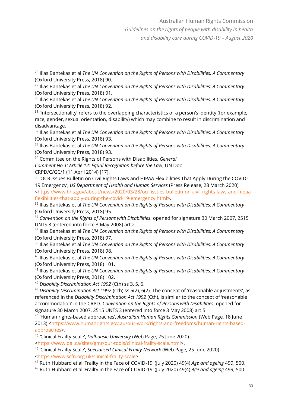<sup>28</sup> Ilias Bantekas et al *The UN Convention on the Rights of Persons with Disabilities: A Commentary* (Oxford University Press, 2018) 90.

<sup>29</sup> Ilias Bantekas et al *The UN Convention on the Rights of Persons with Disabilities: A Commentary* (Oxford University Press, 2018) 91.

<sup>30</sup> Ilias Bantekas et al *The UN Convention on the Rights of Persons with Disabilities: A Commentary* (Oxford University Press, 2018) 92.

<sup>31</sup> 'Intersectionality' refers to the overlapping characteristics of a person's identity (for example, race, gender, sexual orientation, disability) which may combine to result in discrimination and disadvantage.

<sup>32</sup> Ilias Bantekas et al *The UN Convention on the Rights of Persons with Disabilities: A Commentary* (Oxford University Press, 2018) 93.

<sup>33</sup> Ilias Bantekas et al *The UN Convention on the Rights of Persons with Disabilities: A Commentary* (Oxford University Press, 2018) 93.

<sup>34</sup> Committee on the Rights of Persons with Disabilities, *General*

*Comment No 1: Article 12: Equal Recognition before the Law*, UN Doc

CRPD/C/GC/1 (11 April 2014) [17].

<sup>35</sup> 'OCR Issues Bulletin on Civil Rights Laws and HIPAA Flexibilities That Apply During the COVID-19 Emergency', *US Department of Health and Human Services* (Press Release, 28 March 2020) [<https://www.hhs.gov/about/news/2020/03/28/ocr-issues-bulletin-on-civil-rights-laws-and-hipaa](https://www.hhs.gov/about/news/2020/03/28/ocr-issues-bulletin-on-civil-rights-laws-and-hipaa-flexibilities-that-apply-during-the-covid-19-emergency.html)[flexibilities-that-apply-during-the-covid-19-emergency.html>](https://www.hhs.gov/about/news/2020/03/28/ocr-issues-bulletin-on-civil-rights-laws-and-hipaa-flexibilities-that-apply-during-the-covid-19-emergency.html).

<sup>36</sup> Ilias Bantekas et al *The UN Convention on the Rights of Persons with Disabilities: A Commentary* (Oxford University Press, 2018) 95.

<sup>37</sup> *Convention on the Rights of Persons with Disabilities*, opened for signature 30 March 2007, 2515 UNTS 3 (entered into force 3 May 2008) art 2.

<sup>38</sup> Ilias Bantekas et al *The UN Convention on the Rights of Persons with Disabilities: A Commentary* (Oxford University Press, 2018) 97.

<sup>39</sup> Ilias Bantekas et al *The UN Convention on the Rights of Persons with Disabilities: A Commentary* (Oxford University Press, 2018) 98.

<sup>40</sup> Ilias Bantekas et al *The UN Convention on the Rights of Persons with Disabilities: A Commentary* (Oxford University Press, 2018) 101.

<sup>41</sup> Ilias Bantekas et al *The UN Convention on the Rights of Persons with Disabilities: A Commentary* (Oxford University Press, 2018) 102.

<sup>42</sup> *Disability Discrimination Act 1992* (Cth) ss 3, 5, 6.

<sup>43</sup> *Disability Discrimination Act* 1992 (Cth) ss 5(2), 6(2). The concept of 'reasonable adjustments', as referenced in the *Disability Discrimination Act 1992* (Cth), is similar to the concept of 'reasonable accommodation' in the CRPD. *Convention on the Rights of Persons with Disabilities*, opened for signature 30 March 2007, 2515 UNTS 3 (entered into force 3 May 2008) art 5.

44 'Human rights-based approaches', *Australian Human Rights Commission* (Web Page, 18 June 2013) [<https://www.humanrights.gov.au/our-work/rights-and-freedoms/human-rights-based](https://www.humanrights.gov.au/our-work/rights-and-freedoms/human-rights-based-approaches)[approaches>](https://www.humanrights.gov.au/our-work/rights-and-freedoms/human-rights-based-approaches).

45 *'*Clinical Frailty Scale', *Dalhousie University* (Web Page, 25 June 2020)

[<https://www.dal.ca/sites/gmr/our-tools/clinical-frailty-scale.html>](https://www.dal.ca/sites/gmr/our-tools/clinical-frailty-scale.html).

<sup>46</sup> 'Clinical Frailty Scale', *Specialised Clinical Frailty Network* (Web Page, 25 June 2020) [<https://www.scfn.org.uk/clinical-frailty-scale>](https://www.scfn.org.uk/clinical-frailty-scale).

<sup>47</sup> Ruth Hubbard et al 'Frailty in the Face of COVID-19' (July 2020) 49(4) *Age and ageing* 499, 500.

<sup>48</sup> Ruth Hubbard et al 'Frailty in the Face of COVID-19' (July 2020) 49(4) *Age and ageing* 499, 500.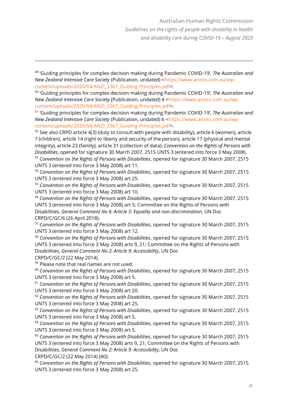49 'Guiding principles for complex decision making during Pandemic COVID-19', *The Australian and New Zealand Intensive Care Society* (Publication, undated) [<https://www.anzics.com.au/wp](https://www.anzics.com.au/wp-content/uploads/2020/04/ANZI_3367_Guiding-Principles.pdf)[content/uploads/2020/04/ANZI\\_3367\\_Guiding-Principles.pdf>](https://www.anzics.com.au/wp-content/uploads/2020/04/ANZI_3367_Guiding-Principles.pdf).

50 'Guiding principles for complex decision making during Pandemic COVID-19', *The Australian and New Zealand Intensive Care Society* (Publication, undated) 4 [<https://www.anzics.com.au/wp](https://www.anzics.com.au/wp-content/uploads/2020/04/ANZI_3367_Guiding-Principles.pdf)[content/uploads/2020/04/ANZI\\_3367\\_Guiding-Principles.pdf>](https://www.anzics.com.au/wp-content/uploads/2020/04/ANZI_3367_Guiding-Principles.pdf).

51 'Guiding principles for complex decision making during Pandemic COVID-19', *The Australian and New Zealand Intensive Care Society* (Publication, undated) 6 [<https://www.anzics.com.au/wp](https://www.anzics.com.au/wp-content/uploads/2020/04/ANZI_3367_Guiding-Principles.pdf)[content/uploads/2020/04/ANZI\\_3367\\_Guiding-Principles.pdf>](https://www.anzics.com.au/wp-content/uploads/2020/04/ANZI_3367_Guiding-Principles.pdf).

 $52$  See also CRPD article 4(3) (duty to consult with people with disability), article 6 (women), article 7 (children), article 14 (right to liberty and security of the person), article 17 (physical and mental integrity), article 23 (family), article 31 (collection of data): *Convention on the Rights of Persons with Disabilities*, opened for signature 30 March 2007, 2515 UNTS 3 (entered into force 3 May 2008). <sup>53</sup> *Convention on the Rights of Persons with Disabilities*, opened for signature 30 March 2007, 2515

UNTS 3 (entered into force 3 May 2008) art 11.

<sup>54</sup> *Convention on the Rights of Persons with Disabilities*, opened for signature 30 March 2007, 2515 UNTS 3 (entered into force 3 May 2008) art 25.

<sup>55</sup> *Convention on the Rights of Persons with Disabilities*, opened for signature 30 March 2007, 2515 UNTS 3 (entered into force 3 May 2008) art 10.

<sup>56</sup> *Convention on the Rights of Persons with Disabilities*, opened for signature 30 March 2007, 2515 UNTS 3 (entered into force 3 May 2008) art 5; Committee on the Rights of Persons with Disabilities, *General Comment No 6: Article 5: Equality and non-discrimination*, UN Doc CRPD/C/GC/6 (26 April 2018).

<sup>57</sup> *Convention on the Rights of Persons with Disabilities*, opened for signature 30 March 2007, 2515 UNTS 3 (entered into force 3 May 2008) art 12.

<sup>58</sup> *Convention on the Rights of Persons with Disabilities*, opened for signature 30 March 2007, 2515 UNTS 3 (entered into force 3 May 2008) arts 9, 21; Committee on the Rights of Persons with Disabilities, *General Comment No 2: Article 9: Accessibility*, UN Doc

CRPD/C/GC/2 (22 May 2014).

<sup>59</sup> Please note that real names are not used.

<sup>60</sup> *Convention on the Rights of Persons with Disabilities*, opened for signature 30 March 2007, 2515 UNTS 3 (entered into force 3 May 2008) art 5.

<sup>61</sup> *Convention on the Rights of Persons with Disabilities*, opened for signature 30 March 2007, 2515 UNTS 3 (entered into force 3 May 2008) art 20.

<sup>62</sup> *Convention on the Rights of Persons with Disabilities*, opened for signature 30 March 2007, 2515 UNTS 3 (entered into force 3 May 2008) art 25.

<sup>63</sup> *Convention on the Rights of Persons with Disabilities*, opened for signature 30 March 2007, 2515 UNTS 3 (entered into force 3 May 2008) art 5.

<sup>64</sup> *Convention on the Rights of Persons with Disabilities*, opened for signature 30 March 2007, 2515 UNTS 3 (entered into force 3 May 2008) art 5.

<sup>65</sup> *Convention on the Rights of Persons with Disabilities*, opened for signature 30 March 2007, 2515 UNTS 3 (entered into force 3 May 2008) arts 9, 21; Committee on the Rights of Persons with Disabilities, *General Comment No 2: Article 9: Accessibility*, UN Doc CRPD/C/GC/2 (22 May 2014) [40].

<sup>66</sup> *Convention on the Rights of Persons with Disabilities*, opened for signature 30 March 2007, 2515 UNTS 3 (entered into force 3 May 2008) art 25.